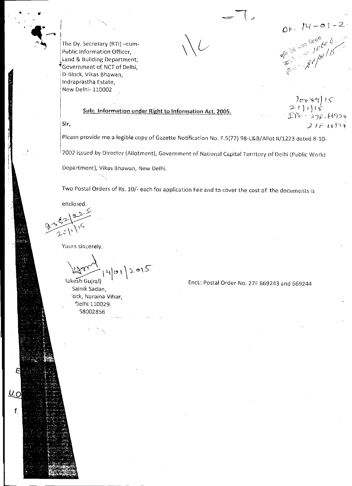Or.  $14 - 01 - 2$ 

The Dy. Secretary (RTI) —cum-Public Information Officer, Land & Building Department, "Government of NCT of Delhi, D-Block, Vikas Bhawan, :lndraprastha Estate, New Delhi- 110002

*<sup>7</sup>* [^n '6`7) iS- $2 - 111$  $\mathcal{IP}o=$  2.7f,  $669$ 24  $27F66924$ 

Sir,

Please provide me a legible copy of Gazette Notification No. F.5(77) 98-L&B/Allot 11/1223 dated 8-10-

Sub: Information under Right to Information Act, 2005.

2002 issued by Director (Allotment), Government of National Capital Territory of Deihi (Public Works

Department), Vikas Bhawan, New Delhi.

Two Postal Orders of Rs. 10/- each for application Fee and to cover the cost of the documents is

enclosed.

U.ο

 $\boldsymbol{\mathcal{I}}$ 

Yours sincerely.

 $\vert \sigma \vert$ lakesh Gujral)  $205$ 

Sainik Sadan, 'ock, Naraina Vihar, Delhi 110029, 58002856

EncL: Postal Order No. 27F 669243 and 669244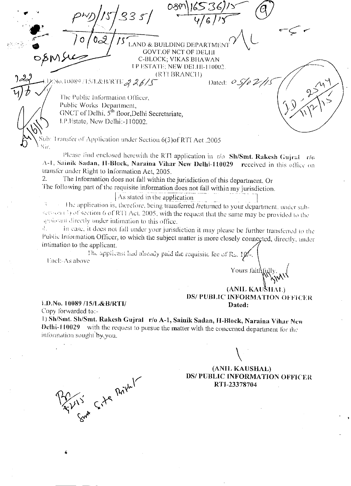$P^{1/2}$   $P^{1/3}/s$  3  $s$  /  $\frac{08^m}{46}$  $\overline{\sigma}$ LAND & BUILDING DEPARTMEN GOVT.OF NCT OF DELHI opM5-k-c- C-BLOCK; VIKAS BLIAWAN P I SPATE, NEW DELI I 10002. (RTI BRANCII) No.10089/15/1.&B/RTE 926/5 Dated: 05/02/15 The Public Information Officer, Public Works Department, GNCT of Delhi,  $5<sup>th</sup>$  floor,Delhi Secretariate, I.P.Estate, New Delhi:-110002.  $\mu$ b: Transfer of Application under Section 6(3)of RTI Act .2005 Sir. Please find enclosed herewith the RTI application in  $r/\sigma$  Sh/Smt. Rakesh Gujraf  $r/\sigma$ A-1, Sainik Sadan, II-Block, Naraina Vihar New Delhi-110029 received in this office on transfer under Right to Information Act, 2005. 2. The Information does not fall within the jurisdiction of this department. Or I he following part of the requisite information does not fall within my jurisdiction. As stated in the application I he application is, therefore, being transferred /returned to your department, under subsection  $\binom{2}{3}$  of section 6 of RTI Act. 2005, with the request that the same may be provided to the applicant directly under intimation to this office. In ease, it does not fall under your jurisdiction it may please be further transferred to the 47. Public Information Officer, to which the subject matter is more closely connected, directly, under intimation to the applicant. applicant.<br>The applicant had already paid the requisite lee of Rs. 10/-. Encl:-.As above Yours faitl '\<br>'\\\\\\<br>' (ANIL KAUSILAL) DS/ PUBLIC INFORMATION OFFICER 1.I).No. 10089 /15/1,&B/RTI/ Dated: Copy forwarded to:- 1) Sh/Smt. Sh/Smt. Rakesh Gujral r/o A-1, Sainik Sadan, H-Block, Naraina Vihar New Delhi-110029 with the request to pursue the matter with the concerned department tbr the information sought by you. Sont Site Privat (ANIL KAUSHAL) DS/ PUBLIC INFORMATION OFFICER RTI-23378704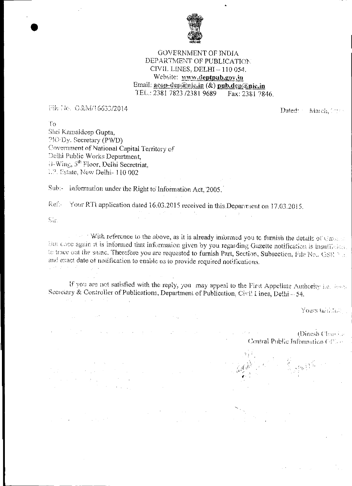

## GOVERNMENT OF INDIA DEPARTMENT OF PUBLICATION CIVIL LINES, DELHI — 110 054. Website: www.deptpub.gov.in Email: acop-dep@nic.in (&) pub.dep@nic.in TEL.: 2381 7823 /2381 9689 Fax: 2381 7846.

Pike No. 0&M/16633/2014 Case of Contract Contract Contract Contract Contract On Dated: March, Contract On Dated: March, Contract On Dated: March, Contract On Dated: March, Contract On Dated: March, Contract On Dated: March

 $To$ Shri Kamaideep Gupta, 710]Dy. Secretary (PWD) Covernment of National Capital Territory of Delhi Public Works Department, <sup>3th</sup> Floor, Delhi Secretriat, 1.2. Estate, New Delhi- 110 002

Sub:- information under the Right to Information Act, 2005.

 $\mathcal{L}_{\mathcal{A}}$  and the set of the set of the set of the set of the set of the set of the set of the set of the set of the set of the set of the set of the set of the set of the set of the set of the set of the set of the

The Commission of the Commission of the Commission

ituan personal di kecamatan<br>Kecamatan personal di kecamatan<br>Kecamatan personal di kecamatan

 $\frac{1}{2} \sum_{i=1}^n \frac{1}{2} \sum_{i=1}^n \frac{1}{2} \sum_{i=1}^n \frac{1}{2} \sum_{i=1}^n \frac{1}{2} \sum_{i=1}^n \frac{1}{2} \sum_{i=1}^n \frac{1}{2} \sum_{i=1}^n \frac{1}{2} \sum_{i=1}^n \frac{1}{2} \sum_{i=1}^n \frac{1}{2} \sum_{i=1}^n \frac{1}{2} \sum_{i=1}^n \frac{1}{2} \sum_{i=1}^n \frac{1}{2} \sum_{i=1}^n \frac{1}{2} \sum_{i=$ 

Ref.- Your RTI application dated 16.03.2015 received in this Department on 17.03.2015.

 $\label{eq:2.1} \frac{1}{\sqrt{2\pi}}\left(\frac{1}{\sqrt{2\pi}}\frac{1}{\sqrt{2\pi}}\right)^{1/2}\left(\frac{1}{\sqrt{2\pi}}\frac{1}{\sqrt{2\pi}}\right)^{1/2}\left(\frac{1}{\sqrt{2\pi}}\frac{1}{\sqrt{2\pi}}\right)^{1/2}\left(\frac{1}{\sqrt{2\pi}}\frac{1}{\sqrt{2\pi}}\right)^{1/2}\left(\frac{1}{\sqrt{2\pi}}\frac{1}{\sqrt{2\pi}}\right)^{1/2}\left(\frac{1}{\sqrt{2\pi}}\frac{1}{\sqrt{2\pi}}\frac{1}{\sqrt{$ 

 $\label{eq:2.1} \frac{1}{2} \sum_{i=1}^n \frac{1}{2} \sum_{j=1}^n \frac{1}{2} \sum_{j=1}^n \frac{1}{2} \sum_{j=1}^n \frac{1}{2} \sum_{j=1}^n \frac{1}{2} \sum_{j=1}^n \frac{1}{2} \sum_{j=1}^n \frac{1}{2} \sum_{j=1}^n \frac{1}{2} \sum_{j=1}^n \frac{1}{2} \sum_{j=1}^n \frac{1}{2} \sum_{j=1}^n \frac{1}{2} \sum_{j=1}^n \frac{1}{2} \sum_{j=1}^n \frac{$ 

 $\frac{1}{2} \sum_{i=1}^n \left( \frac{1}{2} \sum_{j=1}^n \frac{1}{2} \sum_{j=1}^n \frac{1}{2} \sum_{j=1}^n \frac{1}{2} \sum_{j=1}^n \frac{1}{2} \sum_{j=1}^n \frac{1}{2} \sum_{j=1}^n \frac{1}{2} \sum_{j=1}^n \frac{1}{2} \sum_{j=1}^n \frac{1}{2} \sum_{j=1}^n \frac{1}{2} \sum_{j=1}^n \frac{1}{2} \sum_{j=1}^n \frac{1}{2} \sum_{j=1}^n \frac{1}{2} \sum$ 

 $\mathbb{S}$  in  $\mathbb{R}$ 

•

 $\sim$   $\sim$   $\sim$  With reference to the above, as it is already informed you tc furnish the details of the set tius coce again it is informed that information given by you regarding Gazette notification is insufficient. to trace out the same. Therefore you are requested to furnish Part, Section, Subsection, File Ne.. GSR + + and exact date of notification to enable us to provide required notifications.

 $\label{eq:2.1} \mathcal{L}_{\mathcal{A}}(\mathcal{A}) = \mathcal{L}_{\mathcal{A}}(\mathcal{A}) = \mathcal{L}_{\mathcal{A}}(\mathcal{A}) = \mathcal{L}_{\mathcal{A}}(\mathcal{A})$ 

If you are not satisfied with the reply, you may appeal to the First Appellate Authority i.e. least Secretary & Controller of Publications, Department of Publication, Civil I ines, Delhi - 54,

Yours tailing and

(Dinesh Charolae Central Public Information ( $\oplus$ )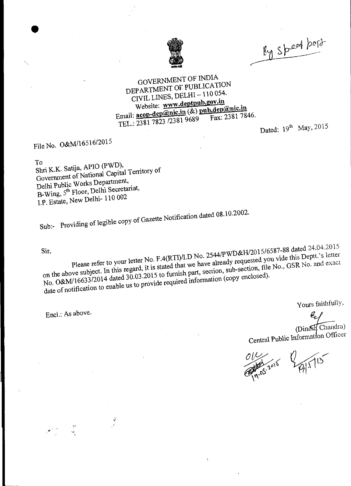

By speed bord

## GOVERNMENT OF INDIA DEPARTMENT OF PUBLICATION CIVIL LINES, DELHI —110 054. Website: www.deptpub.gov.in Website: www.deptpub.gov.m.<br>Email: **acop-dep@nic.in** (&) pub.dep@nic.in<br>Email: **acop-dep@nic.in** (&) pub.dep@nic.in TEL.: 2381 7823 /2381 9689 Fax: 2381 7846.

Dated: 19<sup>th</sup> May, 2015

## File No. O&M/16516/2015

•

To<br>Shri K.K. Satija, APIO (PWD), Shri K.K. Satija, APIO  $(PWD)$ , Gin Electronic of National Capital Territory of Delhi Public Works Department, B-Wing, 5<sup>th</sup> Floor, Delhi Secretariat, I.P. Estate, New Delhi- 110 002

 $S_{\text{S}}$  regions of legible copy of Gazette Notification date. 02.

Sir,

Please refer to your letter No.  $\Gamma$ .  $4(\mathcal{R}^{11})^{11.5}$  $\epsilon$  the above subject. In this regard, it is stated that  $\frac{0.001 \text{ ft}}{20.00116633/2014}$  dated 30.03.2015 to furnish date of notification to enable us to provide required information (copy enclosed).  $D$  No. 2544/PWD&H/2015/6587-88 dat d s !  $24.04.2015$ <br>eptt.'s letter we have already requested you vie we have  $\frac{d}{dx}$  section, file No., GSR NO. and exactle  $\frac{1}{\text{information (copy enclosed)}}$ .

Encl.: As above.

Yours faithfully,

ted 24.4.20 15

(Dinesil Chandra) Central Public Information Officer

34/17/115 1003-2015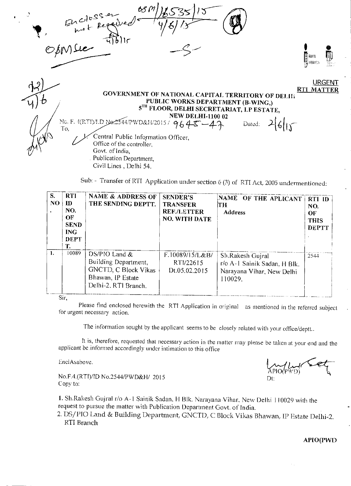

Sub: - Transfer of RTI Application under section 6 (3) of RTI Act, 2005 undermentioned:

| S.<br>NO. | <b>RTI</b><br>ID<br>NO.<br>OF<br><b>SEND</b><br><b>ING</b><br>DEPT<br>Т. | <b>NAME &amp; ADDRESS OF</b><br>THE SENDING DEPTT.                                                                | <b>SENDER'S</b><br><b>TRANSFER</b><br><b>REF./LETTER</b><br><b>NO. WITH DATE</b> | NAME OF THE APLICANT<br>TH<br><b>Address</b>                                             | <b>RTI ID</b><br>NO.<br>$\bf{O}$ F<br><b>THIS</b><br><b>DEPTT</b> |
|-----------|--------------------------------------------------------------------------|-------------------------------------------------------------------------------------------------------------------|----------------------------------------------------------------------------------|------------------------------------------------------------------------------------------|-------------------------------------------------------------------|
| 1.        | 10089<br>$C:=$                                                           | DS/PIO Land &<br>Building Department,<br><b>GNCTD, C Block Vikas</b><br>Bhawan, IP Estate<br>Delhi-2. RTI Branch. | F.10089/15/L&B/<br>RT1/22615<br>Dt.05.02.2015                                    | Sh.Rakesh Gujral<br>r/o A-1 Sainik Sadan, H Blk.<br>Narayana Vihar, New Delhi<br>110029. | 2544                                                              |

Sir,

Please find enclosed herewith the RTI Application in original as mentioned in the referred subject for urgent necessary action.

The information sought by the applicant seems to be closely related with your office/deptt..

It is, therefore, requested that necessary action in the matter may please be taken at your end and the applicant be:informed accordingly under intimation to this office

EnclAsabove.

No.F.4.(RTI)/ID No.2544/PWD&H/ 2015 Copy to:

 $\widehat{APIO}(\widehat{PWD})$  $\sim$ Dt:

1. Sh.Rakesh Gujral r/o A-1 Sainik Sadan, H Blk. Narayana Vihar, New Delhi 110029 with the request to pursue the matter with Publication Department Govt. of India.

2. DS/PIO Land & Building Department, GNCTD, C Block Vikas Bhawan, IP Estate Delhi-2. RTI Branch

APIO(PWD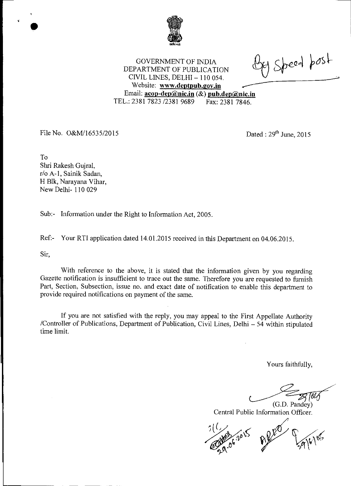

By Speed post

GOVERNMENT OF INDIA DEPARTMENT OF PUBLICATION CIVIL LINES, DELHI — 110 054. Website: www.deptpub.gov.in Email: acop-dep@nic.in (&) pub.dep@nic.in TEL.: 2381 7823 /2381 9689 Fax: 2381 7846.

File No. 0&M/16535/2015 Dated : 29<sup>th</sup> June, 2015

To

Shri Rakesh Gujral, r/o A-1, Sainik Sadan, H Blk, Narayana Vihar, New Delhi- 110 029

Sub:- Information under the Right to Information Act, 2005.

Ref:- Your RTI application dated 14.01.2015 received in this Department on 04.06.2015.

Sir,

With reference to the above, it is stated that the information given by you regarding Gazette notification is insufficient to trace out the same. Therefore you are requested to furnish Part, Section, Subsection, issue no. and exact date of notification to enable this department to provide required notifications on payment of the same.

If you are not satisfied with the reply, you may appeal to the First Appellate Authority /Controller of Publications, Department of Publication, Civil Lines, Delhi — 54 within stipulated time limit.

Yours faithfully,

DR 1614 (G.D. Pandey) Central Public Information Officer.